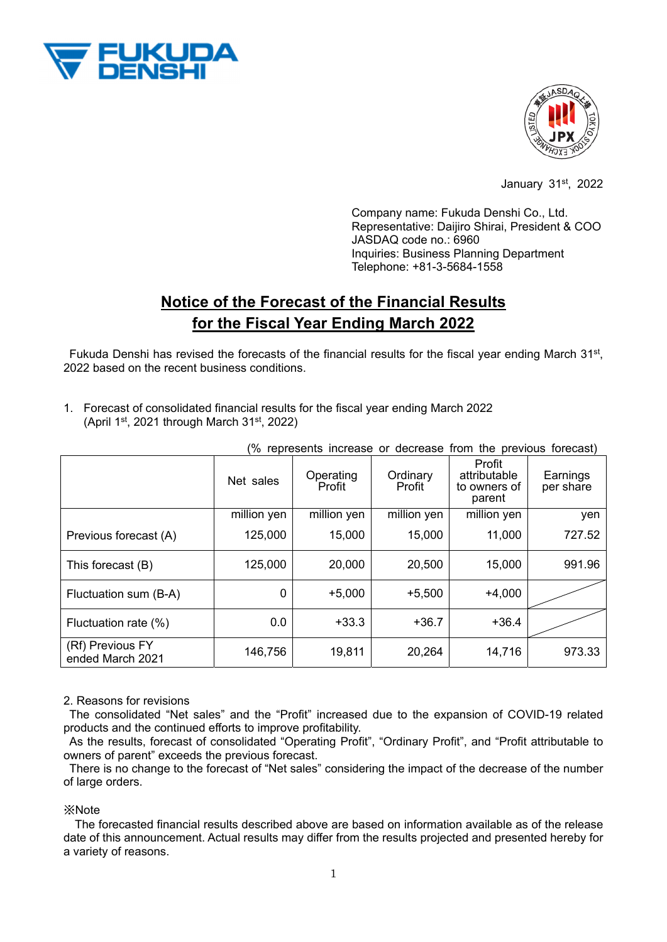



January 31st, 2022

Company name: Fukuda Denshi Co., Ltd. Representative: Daijiro Shirai, President & COO JASDAQ code no.: 6960 Inquiries: Business Planning Department Telephone: +81-3-5684-1558

## **Notice of the Forecast of the Financial Results for the Fiscal Year Ending March 2022**

Fukuda Denshi has revised the forecasts of the financial results for the fiscal year ending March 31<sup>st</sup>, 2022 based on the recent business conditions.

1. Forecast of consolidated financial results for the fiscal year ending March 2022

(April 1st, 2021 through March  $31<sup>st</sup>$ , 2022)

| % represents increase or decrease from the previous forecast) |             |                     |                    |                                                  |                       |
|---------------------------------------------------------------|-------------|---------------------|--------------------|--------------------------------------------------|-----------------------|
|                                                               | Net sales   | Operating<br>Profit | Ordinary<br>Profit | Profit<br>attributable<br>to owners of<br>parent | Earnings<br>per share |
|                                                               | million yen | million yen         | million yen        | million yen                                      | yen                   |
| Previous forecast (A)                                         | 125,000     | 15,000              | 15,000             | 11,000                                           | 727.52                |
| This forecast (B)                                             | 125,000     | 20,000              | 20,500             | 15,000                                           | 991.96                |
| Fluctuation sum (B-A)                                         | 0           | $+5,000$            | $+5,500$           | $+4,000$                                         |                       |
| Fluctuation rate (%)                                          | 0.0         | $+33.3$             | $+36.7$            | $+36.4$                                          |                       |
| (Rf) Previous FY<br>ended March 2021                          | 146,756     | 19,811              | 20,264             | 14,716                                           | 973.33                |

(% represents increase or decrease from the previous forecast)

## 2. Reasons for revisions

The consolidated "Net sales" and the "Profit" increased due to the expansion of COVID-19 related products and the continued efforts to improve profitability.

As the results, forecast of consolidated "Operating Profit", "Ordinary Profit", and "Profit attributable to owners of parent" exceeds the previous forecast.

There is no change to the forecast of "Net sales" considering the impact of the decrease of the number of large orders.

※Note

The forecasted financial results described above are based on information available as of the release date of this announcement. Actual results may differ from the results projected and presented hereby for a variety of reasons.